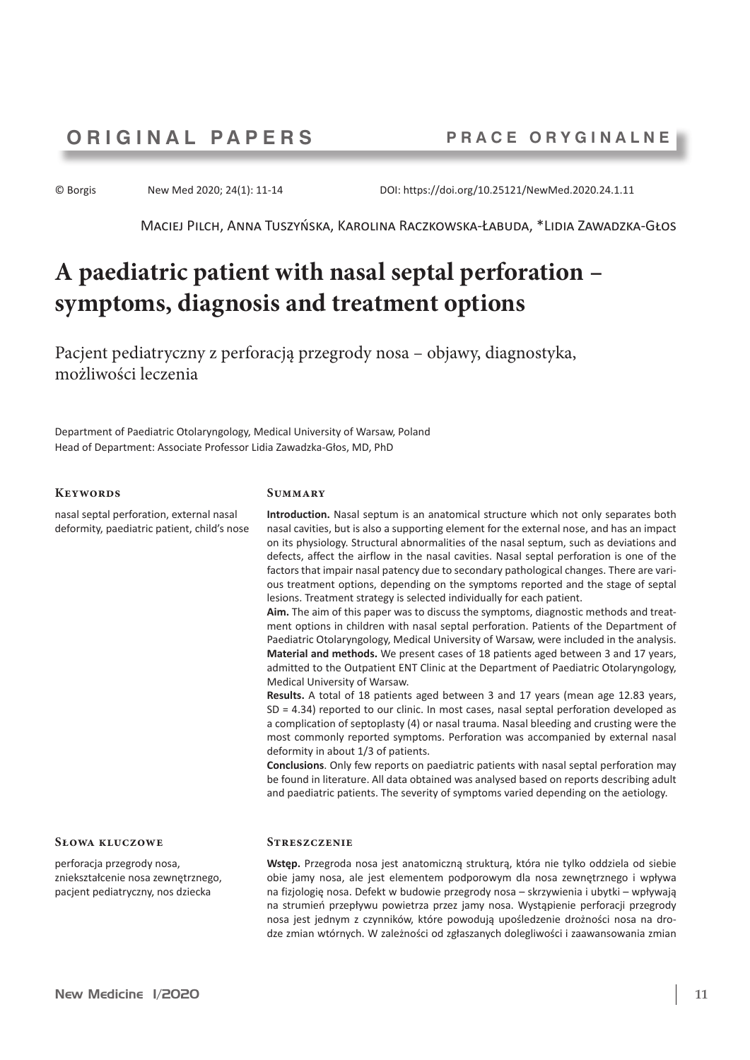© Borgis New Med 2020; 24(1): 11-14 DOI: https://doi.org/10.25121/NewMed.2020.24.1.11

Maciej Pilch, Anna Tuszyńska, Karolina Raczkowska-Łabuda, \*Lidia Zawadzka-Głos

# **A paediatric patient with nasal septal perforation – symptoms, diagnosis and treatment options**

Pacjent pediatryczny z perforacją przegrody nosa – objawy, diagnostyka, możliwości leczenia

Department of Paediatric Otolaryngology, Medical University of Warsaw, Poland Head of Department: Associate Professor Lidia Zawadzka-Głos, MD, PhD

## **Keywords**

nasal septal perforation, external nasal deformity, paediatric patient, child's nose

#### **Summary**

**Introduction.** Nasal septum is an anatomical structure which not only separates both nasal cavities, but is also a supporting element for the external nose, and has an impact on its physiology. Structural abnormalities of the nasal septum, such as deviations and defects, affect the airflow in the nasal cavities. Nasal septal perforation is one of the factors that impair nasal patency due to secondary pathological changes. There are various treatment options, depending on the symptoms reported and the stage of septal lesions. Treatment strategy is selected individually for each patient.

**Aim.** The aim of this paper was to discuss the symptoms, diagnostic methods and treatment options in children with nasal septal perforation. Patients of the Department of Paediatric Otolaryngology, Medical University of Warsaw, were included in the analysis. **Material and methods.** We present cases of 18 patients aged between 3 and 17 years, admitted to the Outpatient ENT Clinic at the Department of Paediatric Otolaryngology,

Medical University of Warsaw. **Results.** A total of 18 patients aged between 3 and 17 years (mean age 12.83 years, SD = 4.34) reported to our clinic. In most cases, nasal septal perforation developed as a complication of septoplasty (4) or nasal trauma. Nasal bleeding and crusting were the most commonly reported symptoms. Perforation was accompanied by external nasal

deformity in about 1/3 of patients. **Conclusions**. Only few reports on paediatric patients with nasal septal perforation may be found in literature. All data obtained was analysed based on reports describing adult and paediatric patients. The severity of symptoms varied depending on the aetiology.

#### **Słowa kluczowe**

perforacja przegrody nosa, zniekształcenie nosa zewnętrznego, pacjent pediatryczny, nos dziecka

# **Streszczenie**

**Wstęp.** Przegroda nosa jest anatomiczną strukturą, która nie tylko oddziela od siebie obie jamy nosa, ale jest elementem podporowym dla nosa zewnętrznego i wpływa na fizjologię nosa. Defekt w budowie przegrody nosa – skrzywienia i ubytki – wpływają na strumień przepływu powietrza przez jamy nosa. Wystąpienie perforacji przegrody nosa jest jednym z czynników, które powodują upośledzenie drożności nosa na drodze zmian wtórnych. W zależności od zgłaszanych dolegliwości i zaawansowania zmian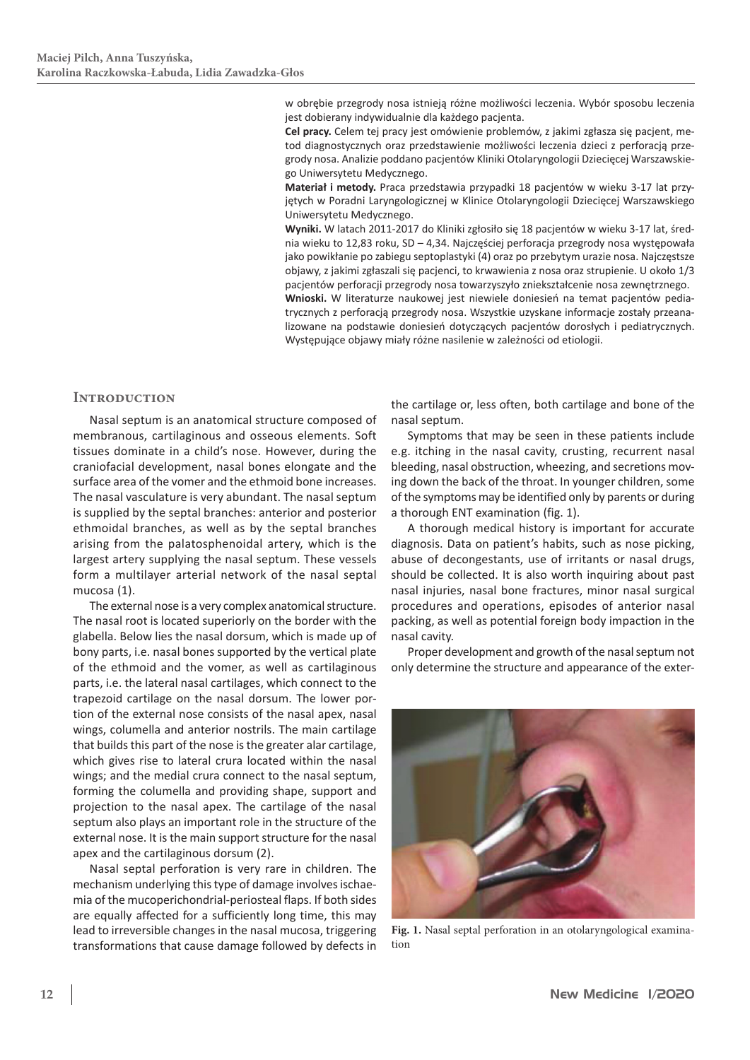w obrębie przegrody nosa istnieją różne możliwości leczenia. Wybór sposobu leczenia jest dobierany indywidualnie dla każdego pacjenta.

**Cel pracy.** Celem tej pracy jest omówienie problemów, z jakimi zgłasza się pacjent, metod diagnostycznych oraz przedstawienie możliwości leczenia dzieci z perforacją przegrody nosa. Analizie poddano pacjentów Kliniki Otolaryngologii Dziecięcej Warszawskiego Uniwersytetu Medycznego.

**Materiał i metody.** Praca przedstawia przypadki 18 pacjentów w wieku 3-17 lat przyjętych w Poradni Laryngologicznej w Klinice Otolaryngologii Dziecięcej Warszawskiego Uniwersytetu Medycznego.

**Wyniki.** W latach 2011-2017 do Kliniki zgłosiło się 18 pacjentów w wieku 3-17 lat, średnia wieku to 12,83 roku, SD – 4,34. Najczęściej perforacja przegrody nosa występowała jako powikłanie po zabiegu septoplastyki (4) oraz po przebytym urazie nosa. Najczęstsze objawy, z jakimi zgłaszali się pacjenci, to krwawienia z nosa oraz strupienie. U około 1/3 pacjentów perforacji przegrody nosa towarzyszyło zniekształcenie nosa zewnętrznego. **Wnioski.** W literaturze naukowej jest niewiele doniesień na temat pacjentów pediatrycznych z perforacją przegrody nosa. Wszystkie uzyskane informacje zostały przeanalizowane na podstawie doniesień dotyczących pacjentów dorosłych i pediatrycznych. Występujące objawy miały różne nasilenie w zależności od etiologii.

# **Introduction**

Nasal septum is an anatomical structure composed of membranous, cartilaginous and osseous elements. Soft tissues dominate in a child's nose. However, during the craniofacial development, nasal bones elongate and the surface area of the vomer and the ethmoid bone increases. The nasal vasculature is very abundant. The nasal septum is supplied by the septal branches: anterior and posterior ethmoidal branches, as well as by the septal branches arising from the palatosphenoidal artery, which is the largest artery supplying the nasal septum. These vessels form a multilayer arterial network of the nasal septal mucosa (1).

The external nose is a very complex anatomical structure. The nasal root is located superiorly on the border with the glabella. Below lies the nasal dorsum, which is made up of bony parts, i.e. nasal bones supported by the vertical plate of the ethmoid and the vomer, as well as cartilaginous parts, i.e. the lateral nasal cartilages, which connect to the trapezoid cartilage on the nasal dorsum. The lower portion of the external nose consists of the nasal apex, nasal wings, columella and anterior nostrils. The main cartilage that builds this part of the nose is the greater alar cartilage, which gives rise to lateral crura located within the nasal wings; and the medial crura connect to the nasal septum, forming the columella and providing shape, support and projection to the nasal apex. The cartilage of the nasal septum also plays an important role in the structure of the external nose. It is the main support structure for the nasal apex and the cartilaginous dorsum (2).

Nasal septal perforation is very rare in children. The mechanism underlying this type of damage involves ischaemia of the mucoperichondrial-periosteal flaps. If both sides are equally affected for a sufficiently long time, this may lead to irreversible changes in the nasal mucosa, triggering transformations that cause damage followed by defects in the cartilage or, less often, both cartilage and bone of the nasal septum.

Symptoms that may be seen in these patients include e.g. itching in the nasal cavity, crusting, recurrent nasal bleeding, nasal obstruction, wheezing, and secretions moving down the back of the throat. In younger children, some of the symptoms may be identified only by parents or during a thorough ENT examination (fig. 1).

A thorough medical history is important for accurate diagnosis. Data on patient's habits, such as nose picking, abuse of decongestants, use of irritants or nasal drugs, should be collected. It is also worth inquiring about past nasal injuries, nasal bone fractures, minor nasal surgical procedures and operations, episodes of anterior nasal packing, as well as potential foreign body impaction in the nasal cavity.

Proper development and growth of the nasal septum not only determine the structure and appearance of the exter-



**Fig. 1.** Nasal septal perforation in an otolaryngological examination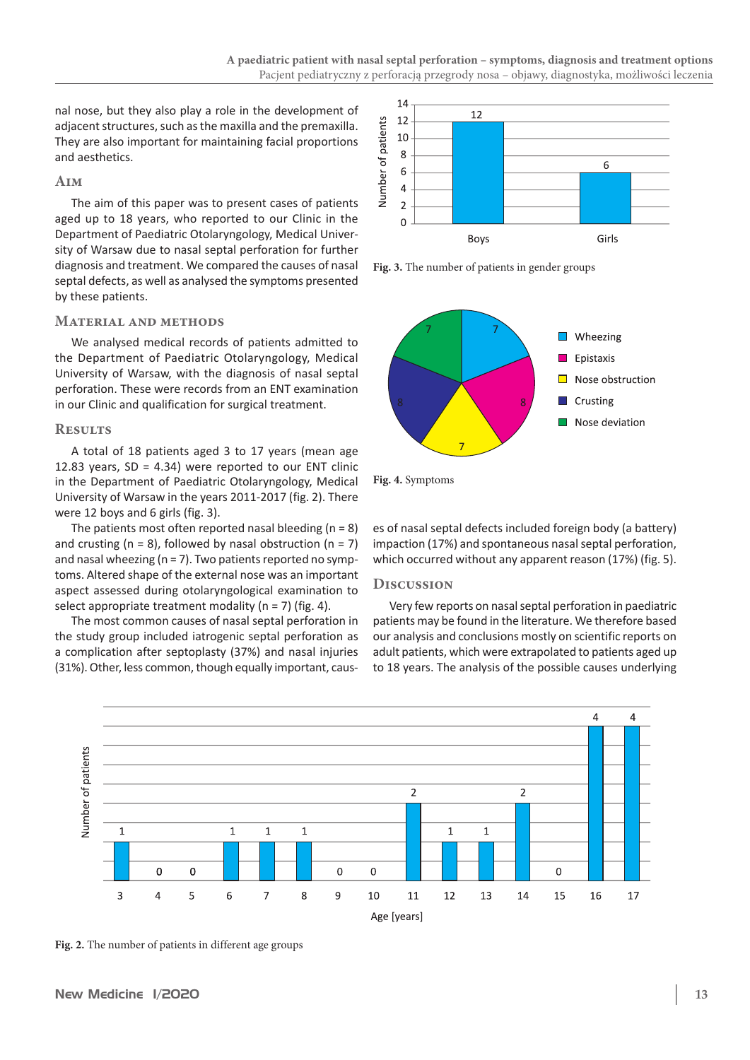nal nose, but they also play a role in the development of adjacent structures, such as the maxilla and the premaxilla. They are also important for maintaining facial proportions and aesthetics.

# **Aim**

The aim of this paper was to present cases of patients aged up to 18 years, who reported to our Clinic in the Department of Paediatric Otolaryngology, Medical University of Warsaw due to nasal septal perforation for further diagnosis and treatment. We compared the causes of nasal septal defects, as well as analysed the symptoms presented by these patients.

# **Material and methods**

We analysed medical records of patients admitted to the Department of Paediatric Otolaryngology, Medical University of Warsaw, with the diagnosis of nasal septal perforation. These were records from an ENT examination in our Clinic and qualification for surgical treatment.

# **Results**

A total of 18 patients aged 3 to 17 years (mean age 12.83 years,  $SD = 4.34$ ) were reported to our ENT clinic in the Department of Paediatric Otolaryngology, Medical University of Warsaw in the years 2011-2017 (fig. 2). There were 12 boys and 6 girls (fig. 3).

The patients most often reported nasal bleeding ( $n = 8$ ) and crusting ( $n = 8$ ), followed by nasal obstruction ( $n = 7$ ) and nasal wheezing (n = 7). Two patients reported no symptoms. Altered shape of the external nose was an important aspect assessed during otolaryngological examination to select appropriate treatment modality ( $n = 7$ ) (fig. 4).

The most common causes of nasal septal perforation in the study group included iatrogenic septal perforation as a complication after septoplasty (37%) and nasal injuries (31%). Other, less common, though equally important, caus-



**Fig. 3.** The number of patients in gender groups





es of nasal septal defects included foreign body (a battery) impaction (17%) and spontaneous nasal septal perforation, which occurred without any apparent reason (17%) (fig. 5).

# **Discussion**

Very few reports on nasal septal perforation in paediatric patients may be found in the literature. We therefore based our analysis and conclusions mostly on scientific reports on adult patients, which were extrapolated to patients aged up to 18 years. The analysis of the possible causes underlying



**Fig. 2.** The number of patients in different age groups